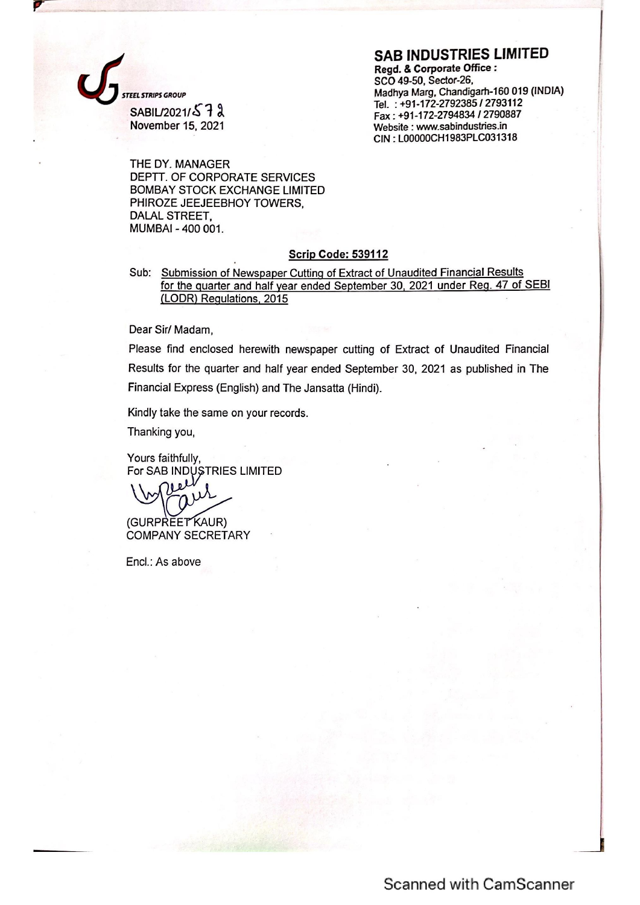SAB INDUSTRIES LIMITED

Regd. & Corporate Office : SCO 49-50, Sector-26, EEL STRIPS GROUP **STATES GROUP** Madhya Marg, Chandigarh-160 019 (INDIA) Tel. : +91-172-2792385 / 2793112 SABIL/2021/S 7 a Fax : +91-172-2794834 / 2790887<br>November 15, 2021 Website : www.sabindustries.in CIN : LO0000CH1983PLC031318

THE DY. MANAGER DEPTT. OF CORPORATE SERVICES BOMBAY STOCK EXCHANGE LIMITED PHIROZE JEEJEEBHOY TOWERS, DALAL STREET, MUMBAI - 400 001.

## Scrip Code: 539112

Sub: Submission of Newspaper Cutting of Extract of Unaudited Financial Results for the quarter and half year ended September 30, 2021 under Reg. 47 of SEBI (LODR) Regulations, 2015

Dear Sir/ Madam,

Please find enclosed herewith newspaper cutting of Extract of Unaudited Financial Results for the quarter and half year ended September 30, 2021 as published in The Financial Express (English) and The Jansatta (Hindi).

Kindly take the same on your records.

Thanking you,

Yours faithfully, For SAB INDUSTRIES LIMITED

(GURPREET KAUR) COMPANY SECRETARY

Encl.: As above

**1980**